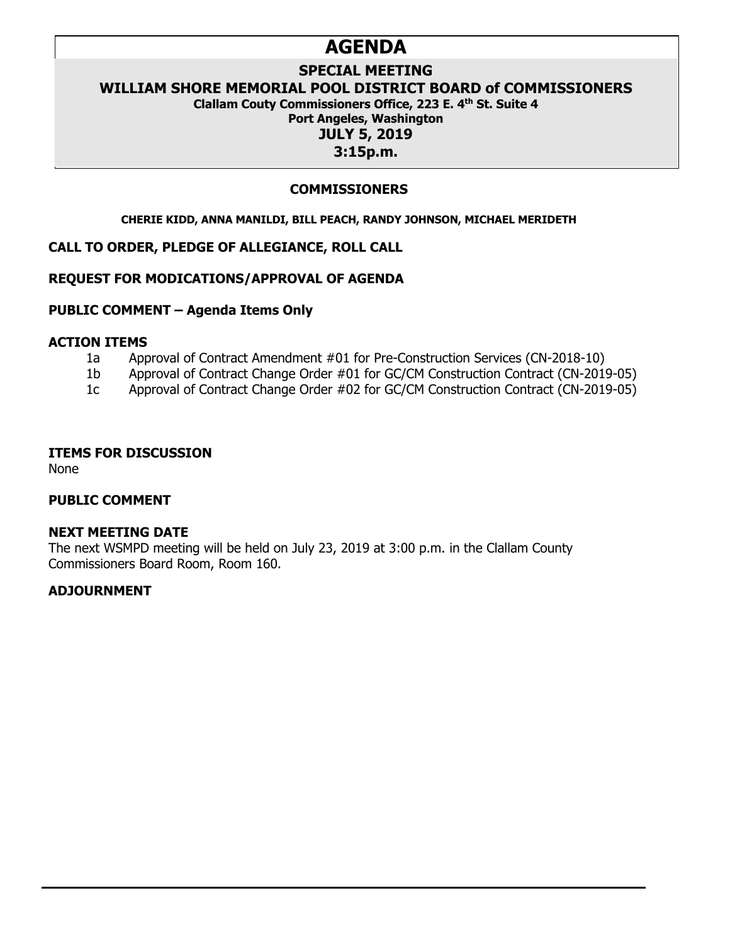# **AGENDA**

# **SPECIAL MEETING**

**WILLIAM SHORE MEMORIAL POOL DISTRICT BOARD of COMMISSIONERS** 

**Clallam Couty Commissioners Office, 223 E. 4th St. Suite 4**

# **Port Angeles, Washington**

**JULY 5, 2019**

# **3:15p.m.**

# **COMMISSIONERS**

#### **CHERIE KIDD, ANNA MANILDI, BILL PEACH, RANDY JOHNSON, MICHAEL MERIDETH**

## **CALL TO ORDER, PLEDGE OF ALLEGIANCE, ROLL CALL**

### **REQUEST FOR MODICATIONS/APPROVAL OF AGENDA**

### **PUBLIC COMMENT – Agenda Items Only**

# **ACTION ITEMS**

- 1a Approval of Contract Amendment #01 for Pre-Construction Services (CN-2018-10)
- 1b Approval of Contract Change Order #01 for GC/CM Construction Contract (CN-2019-05)
- 1c Approval of Contract Change Order #02 for GC/CM Construction Contract (CN-2019-05)

#### **ITEMS FOR DISCUSSION**

None

# **PUBLIC COMMENT**

### **NEXT MEETING DATE**

The next WSMPD meeting will be held on July 23, 2019 at 3:00 p.m. in the Clallam County Commissioners Board Room, Room 160.

# **ADJOURNMENT**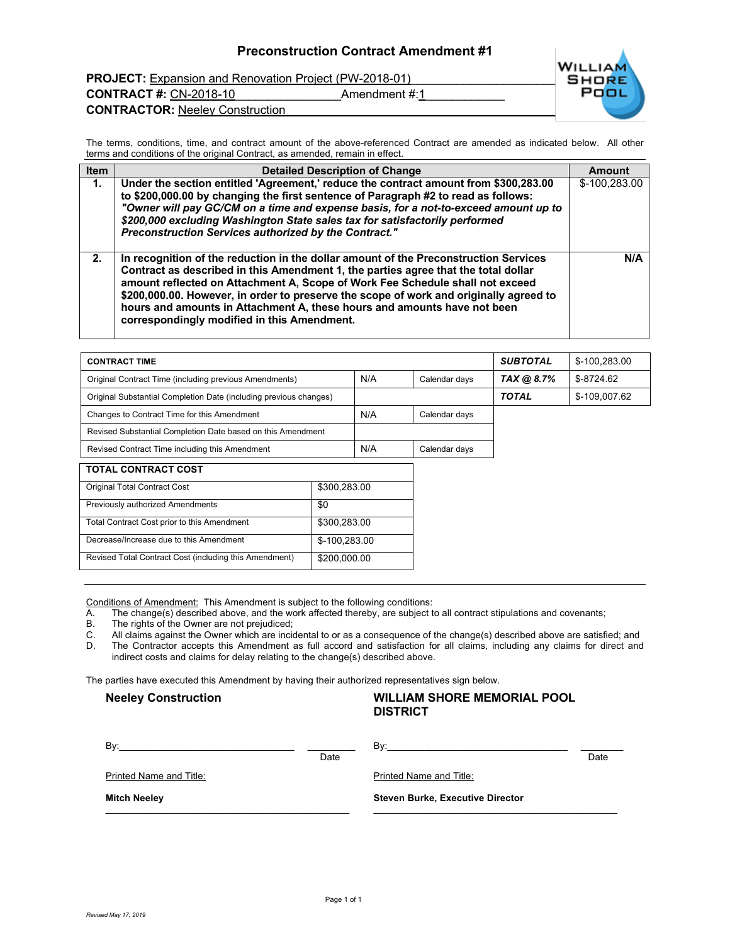PROJECT: Expansion and Renovation Project (PW-2018-01)<br>SHORE

**CONTRACT #:** CN-2018-10 **Amendment #:1 CONTRACTOR:** Neeley Construction\_\_\_\_\_\_\_\_\_\_\_\_\_\_\_\_\_\_\_\_\_\_\_\_\_\_\_\_\_\_\_\_\_\_\_\_\_\_\_\_\_\_\_\_\_\_\_\_



The terms, conditions, time, and contract amount of the above-referenced Contract are amended as indicated below. All other terms and conditions of the original Contract, as amended, remain in effect.

| <b>Item</b> | <b>Detailed Description of Change</b>                                                                                                                                                                                                                                                                                                                                                                                                                                            | Amount        |
|-------------|----------------------------------------------------------------------------------------------------------------------------------------------------------------------------------------------------------------------------------------------------------------------------------------------------------------------------------------------------------------------------------------------------------------------------------------------------------------------------------|---------------|
| 1.          | Under the section entitled 'Agreement,' reduce the contract amount from \$300,283.00                                                                                                                                                                                                                                                                                                                                                                                             | \$-100,283.00 |
|             | to \$200,000.00 by changing the first sentence of Paragraph #2 to read as follows:                                                                                                                                                                                                                                                                                                                                                                                               |               |
|             | "Owner will pay GC/CM on a time and expense basis, for a not-to-exceed amount up to                                                                                                                                                                                                                                                                                                                                                                                              |               |
|             | \$200,000 excluding Washington State sales tax for satisfactorily performed                                                                                                                                                                                                                                                                                                                                                                                                      |               |
|             | Preconstruction Services authorized by the Contract."                                                                                                                                                                                                                                                                                                                                                                                                                            |               |
| 2.          | In recognition of the reduction in the dollar amount of the Preconstruction Services<br>Contract as described in this Amendment 1, the parties agree that the total dollar<br>amount reflected on Attachment A, Scope of Work Fee Schedule shall not exceed<br>\$200,000.00. However, in order to preserve the scope of work and originally agreed to<br>hours and amounts in Attachment A, these hours and amounts have not been<br>correspondingly modified in this Amendment. | N/A           |

| <b>CONTRACT TIME</b>                                              |              |     |               | <b>SUBTOTAL</b> | \$-100,283.00 |
|-------------------------------------------------------------------|--------------|-----|---------------|-----------------|---------------|
| Original Contract Time (including previous Amendments)            |              | N/A | Calendar days | TAX @ 8.7%      | \$-8724.62    |
| Original Substantial Completion Date (including previous changes) |              |     |               | <b>TOTAL</b>    | \$-109,007.62 |
| Changes to Contract Time for this Amendment                       |              | N/A | Calendar days |                 |               |
| Revised Substantial Completion Date based on this Amendment       |              |     |               |                 |               |
| Revised Contract Time including this Amendment                    |              | N/A | Calendar days |                 |               |
| <b>TOTAL CONTRACT COST</b>                                        |              |     |               |                 |               |
| <b>Original Total Contract Cost</b><br>\$300.283.00               |              |     |               |                 |               |
| Previously authorized Amendments                                  | \$0          |     |               |                 |               |
| Total Contract Cost prior to this Amendment                       | \$300.283.00 |     |               |                 |               |
| \$-100.283.00<br>Decrease/Increase due to this Amendment          |              |     |               |                 |               |

Conditions of Amendment: This Amendment is subject to the following conditions:

Revised Total Contract Cost (including this Amendment) \$200,000.00

- A. The change(s) described above, and the work affected thereby, are subject to all contract stipulations and covenants;<br>B. The rights of the Owner are not prejudiced;
- The rights of the Owner are not prejudiced;
- 
- C. All claims against the Owner which are incidental to or as a consequence of the change(s) described above are satisfied; and D. The Contractor accepts this Amendment as full accord and satisfaction for all claims, inclu The Contractor accepts this Amendment as full accord and satisfaction for all claims, including any claims for direct and indirect costs and claims for delay relating to the change(s) described above.

The parties have executed this Amendment by having their authorized representatives sign below.

#### **Neeley Construction WILLIAM SHORE MEMORIAL POOL DISTRICT**

| Bv:<br>Printed Name and Title: | Date | Bv:<br>Printed Name and Title:          | Date |
|--------------------------------|------|-----------------------------------------|------|
| <b>Mitch Neeley</b>            |      | <b>Steven Burke, Executive Director</b> |      |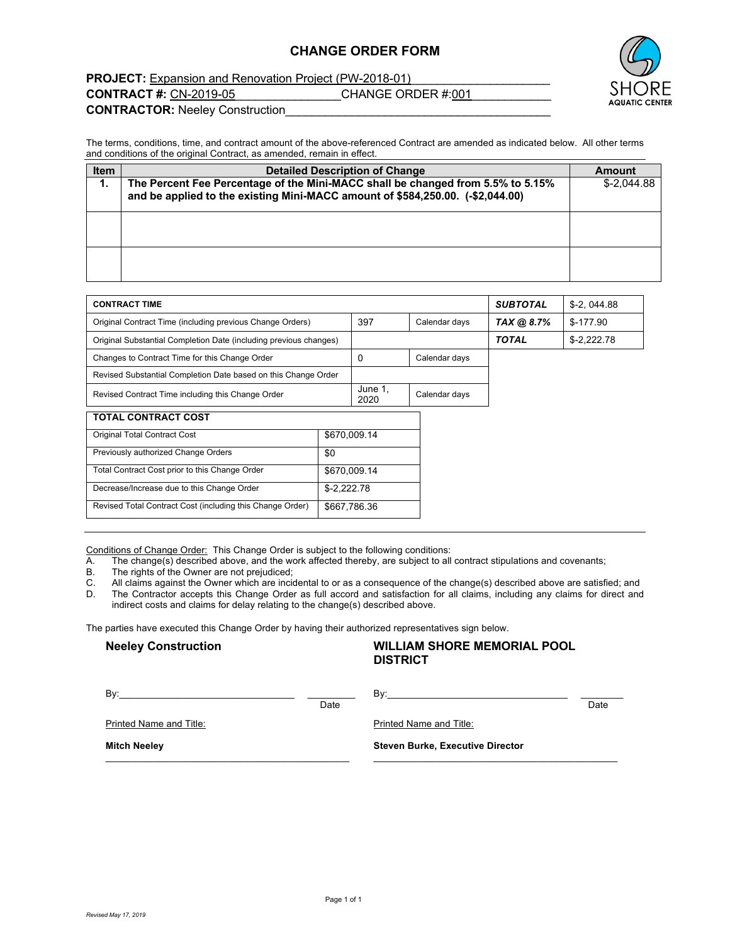#### **CHANGE ORDER FORM**



**PROJECT:** Expansion and Renovation Project (PW-2018-01)

**CONTRACT #:** CN-2019-05 CHANGE ORDER #:001

**CONTRACTOR:** Neeley Construction\_\_\_\_\_\_\_\_\_\_\_\_\_\_\_\_\_\_\_\_\_\_\_\_\_\_\_\_\_\_\_\_\_\_\_\_\_\_\_\_

The terms, conditions, time, and contract amount of the above-referenced Contract are amended as indicated below. All other terms and conditions of the original Contract, as amended, remain in effect.

| <b>Item</b> | <b>Detailed Description of Change</b>                                                                                                                             | Amount       |
|-------------|-------------------------------------------------------------------------------------------------------------------------------------------------------------------|--------------|
| 1.          | The Percent Fee Percentage of the Mini-MACC shall be changed from 5.5% to 5.15%<br>and be applied to the existing Mini-MACC amount of \$584,250.00. (-\$2,044.00) | $$-2.044.88$ |
|             |                                                                                                                                                                   |              |
|             |                                                                                                                                                                   |              |

| <b>CONTRACT TIME</b>                                              |              |                 |               | <b>SUBTOTAL</b> | $$-2.044.88$ |
|-------------------------------------------------------------------|--------------|-----------------|---------------|-----------------|--------------|
| Original Contract Time (including previous Change Orders)         | 397          | Calendar days   | TAX @ 8.7%    | $$-177.90$      |              |
| Original Substantial Completion Date (including previous changes) |              |                 |               | <b>TOTAL</b>    | $$-2,222.78$ |
| Changes to Contract Time for this Change Order                    |              | 0               | Calendar days |                 |              |
| Revised Substantial Completion Date based on this Change Order    |              |                 |               |                 |              |
| Revised Contract Time including this Change Order                 |              | June 1,<br>2020 | Calendar days |                 |              |
| <b>TOTAL CONTRACT COST</b>                                        |              |                 |               |                 |              |
| <b>Original Total Contract Cost</b>                               | \$670,009.14 |                 |               |                 |              |
| Previously authorized Change Orders                               | \$0          |                 |               |                 |              |
| Total Contract Cost prior to this Change Order                    | \$670,009.14 |                 |               |                 |              |
| Decrease/Increase due to this Change Order                        | $$-2,222.78$ |                 |               |                 |              |
| Revised Total Contract Cost (including this Change Order)         | \$667,786.36 |                 |               |                 |              |

Conditions of Change Order: This Change Order is subject to the following conditions:<br>A. The change(s) described above, and the work affected thereby, are subject to all

The change(s) described above, and the work affected thereby, are subject to all contract stipulations and covenants;

B. The rights of the Owner are not prejudiced;

C. All claims against the Owner which are incidental to or as a consequence of the change(s) described above are satisfied; and<br>D. The Contractor accepts this Change Order as full accord and satisfaction for all claims, in The Contractor accepts this Change Order as full accord and satisfaction for all claims, including any claims for direct and indirect costs and claims for delay relating to the change(s) described above.

The parties have executed this Change Order by having their authorized representatives sign below.

# **Neeley Construction WILLIAM SHORE MEMORIAL POOL DISTRICT**

| Bv:                            | Date | Bv:                                     | Date |
|--------------------------------|------|-----------------------------------------|------|
| <b>Printed Name and Title:</b> |      | <b>Printed Name and Title:</b>          |      |
| <b>Mitch Neeley</b>            |      | <b>Steven Burke, Executive Director</b> |      |